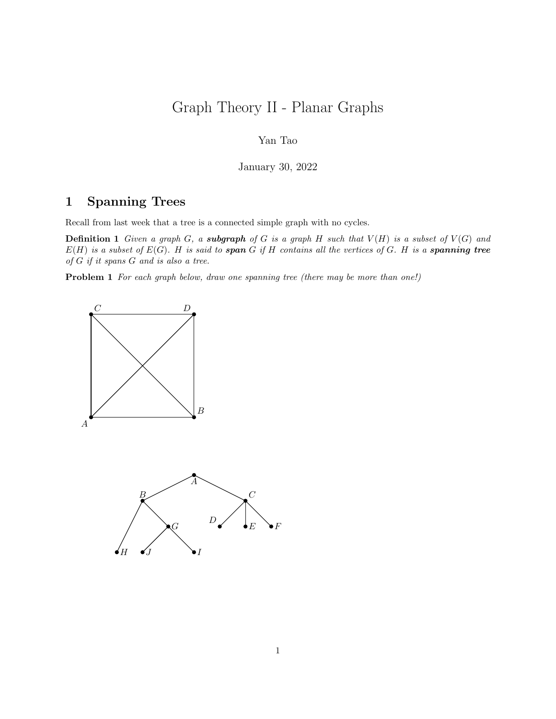# Graph Theory II - Planar Graphs

#### Yan Tao

January 30, 2022

## 1 Spanning Trees

Recall from last week that a tree is a connected simple graph with no cycles.

**Definition 1** Given a graph G, a **subgraph** of G is a graph H such that  $V(H)$  is a subset of  $V(G)$  and  $E(H)$  is a subset of  $E(G)$ . H is said to span G if H contains all the vertices of G. H is a spanning tree of G if it spans G and is also a tree.

Problem 1 For each graph below, draw one spanning tree (there may be more than one!)



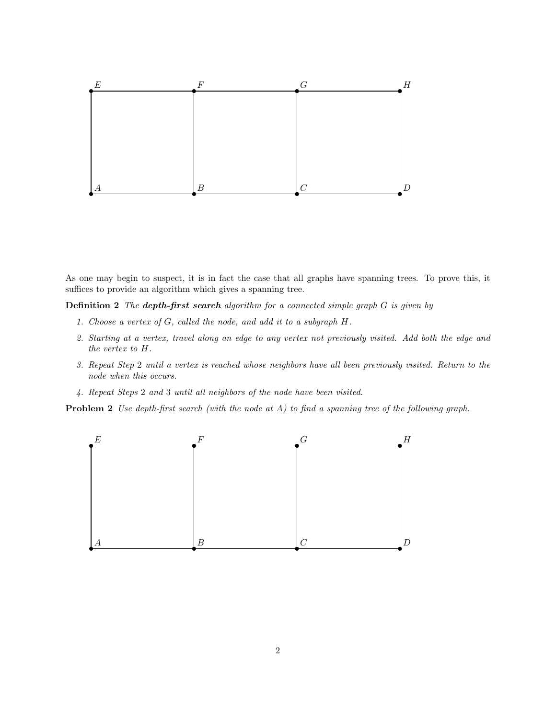

As one may begin to suspect, it is in fact the case that all graphs have spanning trees. To prove this, it suffices to provide an algorithm which gives a spanning tree.

**Definition 2** The **depth-first search** algorithm for a connected simple graph  $G$  is given by

- 1. Choose a vertex of G, called the node, and add it to a subgraph H.
- 2. Starting at a vertex, travel along an edge to any vertex not previously visited. Add both the edge and the vertex to H.
- 3. Repeat Step 2 until a vertex is reached whose neighbors have all been previously visited. Return to the node when this occurs.
- 4. Repeat Steps 2 and 3 until all neighbors of the node have been visited.

Problem 2 Use depth-first search (with the node at A) to find a spanning tree of the following graph.

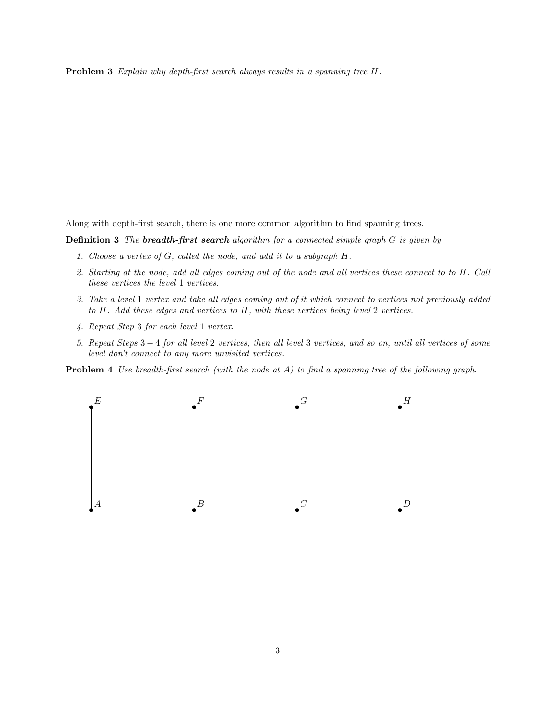Problem 3 Explain why depth-first search always results in a spanning tree H.

Along with depth-first search, there is one more common algorithm to find spanning trees.

**Definition 3** The **breadth-first search** algorithm for a connected simple graph  $G$  is given by

- 1. Choose a vertex of G, called the node, and add it to a subgraph H.
- 2. Starting at the node, add all edges coming out of the node and all vertices these connect to to H. Call these vertices the level 1 vertices.
- 3. Take a level 1 vertex and take all edges coming out of it which connect to vertices not previously added to H. Add these edges and vertices to H, with these vertices being level 2 vertices.
- 4. Repeat Step 3 for each level 1 vertex.
- 5. Repeat Steps 3 − 4 for all level 2 vertices, then all level 3 vertices, and so on, until all vertices of some level don't connect to any more unvisited vertices.

**Problem 4** Use breadth-first search (with the node at  $A$ ) to find a spanning tree of the following graph.

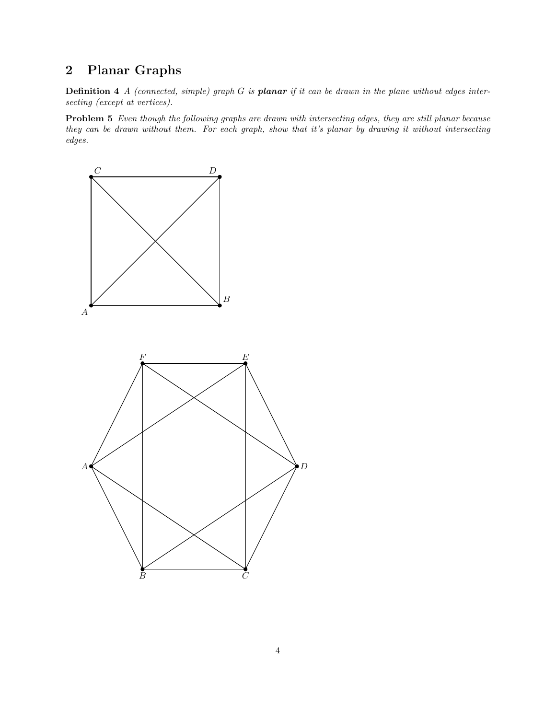## 2 Planar Graphs

**Definition 4** A (connected, simple) graph  $G$  is **planar** if it can be drawn in the plane without edges intersecting (except at vertices).

Problem 5 Even though the following graphs are drawn with intersecting edges, they are still planar because they can be drawn without them. For each graph, show that it's planar by drawing it without intersecting edges.

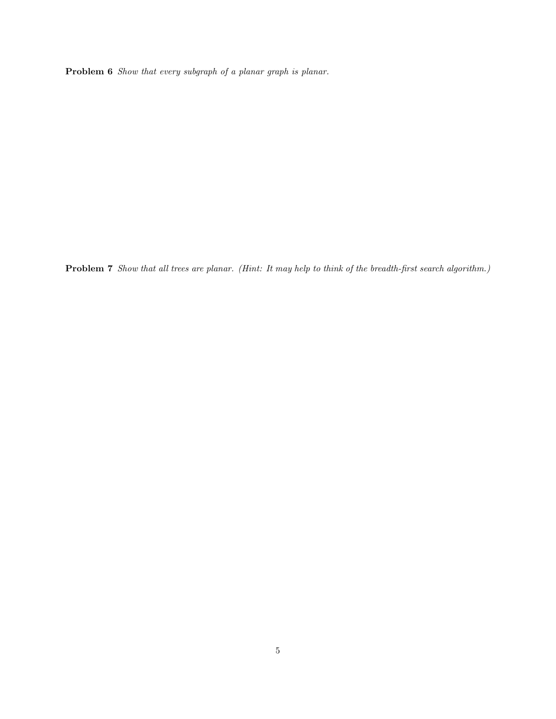Problem 6 Show that every subgraph of a planar graph is planar.

Problem 7 Show that all trees are planar. (Hint: It may help to think of the breadth-first search algorithm.)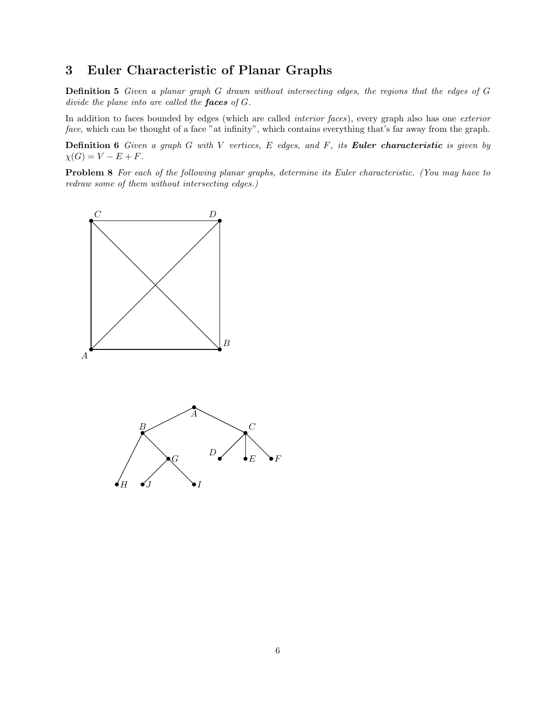#### 3 Euler Characteristic of Planar Graphs

Definition 5 Given a planar graph G drawn without intersecting edges, the regions that the edges of G divide the plane into are called the faces of G.

In addition to faces bounded by edges (which are called *interior faces*), every graph also has one *exterior* face, which can be thought of a face "at infinity", which contains everything that's far away from the graph.

**Definition 6** Given a graph G with V vertices, E edges, and F, its **Euler characteristic** is given by  $\chi(G) = V - E + F.$ 

Problem 8 For each of the following planar graphs, determine its Euler characteristic. (You may have to redraw some of them without intersecting edges.)

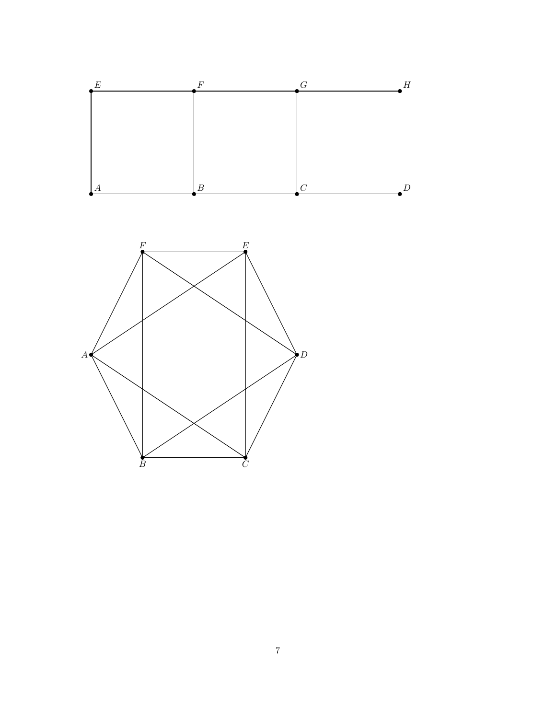

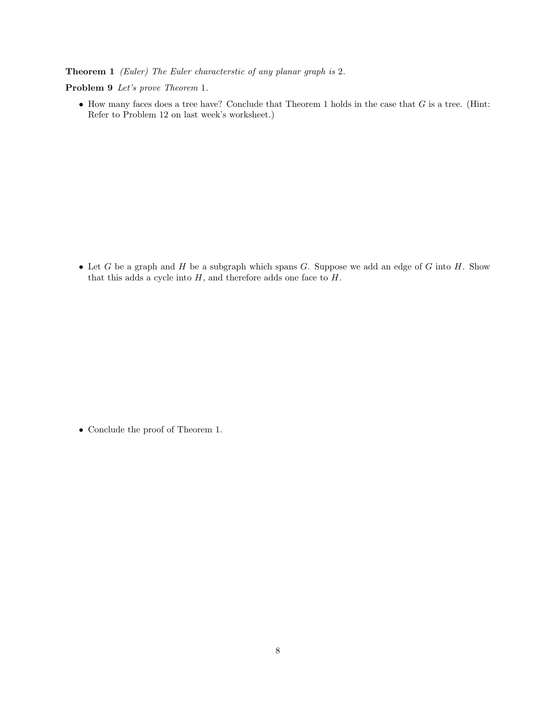Theorem 1 *(Euler)* The Euler characterstic of any planar graph is 2.

Problem 9 Let's prove Theorem 1.

 $\bullet$  How many faces does a tree have? Conclude that Theorem 1 holds in the case that G is a tree. (Hint: Refer to Problem 12 on last week's worksheet.)

• Let G be a graph and H be a subgraph which spans G. Suppose we add an edge of G into H. Show that this adds a cycle into  $H$ , and therefore adds one face to  $H$ .

• Conclude the proof of Theorem 1.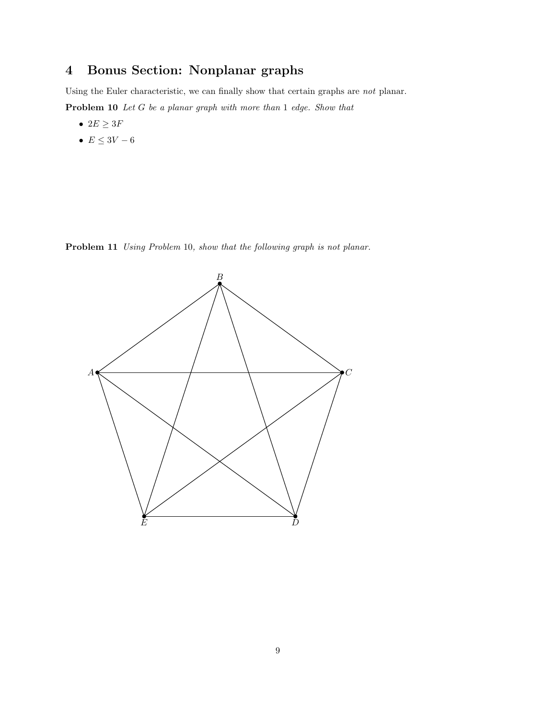## 4 Bonus Section: Nonplanar graphs

Using the Euler characteristic, we can finally show that certain graphs are not planar.

Problem 10 Let G be a planar graph with more than 1 edge. Show that

- $2E \geq 3F$
- $E \leq 3V 6$

Problem 11 Using Problem 10, show that the following graph is not planar.